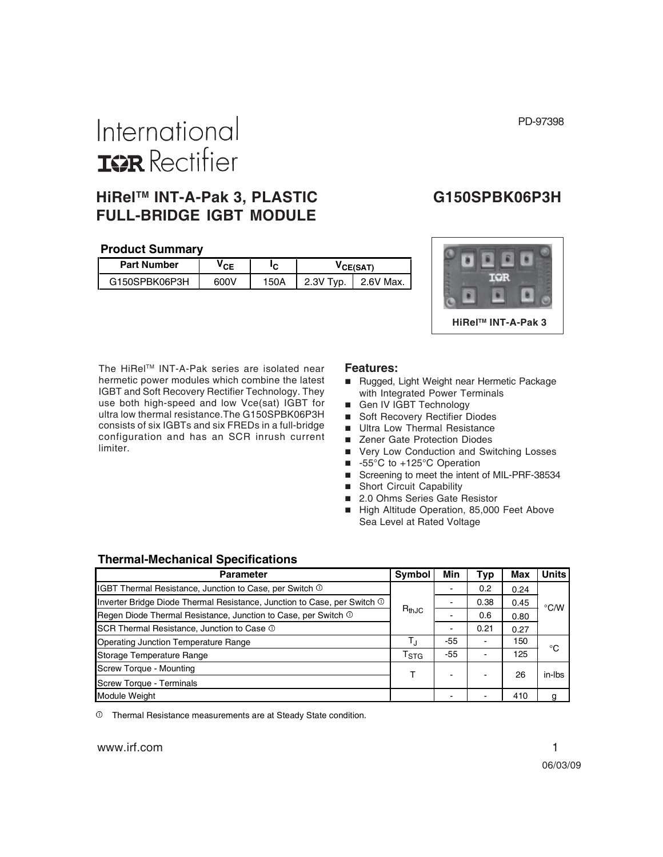#### PD-97398

# International **ISR** Rectifier

## **HiRelTM INT-A-Pak 3, PLASTIC G150SPBK06P3H FULL-BRIDGE IGBT MODULE**

#### **Product Summary**

| <b>Part Number</b> | ′CE  | ΙC   | <b>CE(SAT)</b> |           |  |
|--------------------|------|------|----------------|-----------|--|
| G150SPBK06P3H      | 600V | 150A | 2.3V Tvp.      | 2.6V Max. |  |



The HiRel™ INT-A-Pak series are isolated near hermetic power modules which combine the latest IGBT and Soft Recovery Rectifier Technology. They use both high-speed and low Vce(sat) IGBT for ultra low thermal resistance.The G150SPBK06P3H consists of six IGBTs and six FREDs in a full-bridge configuration and has an SCR inrush current limiter.

#### **Features:**

- Rugged, Light Weight near Hermetic Package with Integrated Power Terminals
- Gen IV IGBT Technology
- Soft Recovery Rectifier Diodes
- **Ultra Low Thermal Resistance**
- Zener Gate Protection Diodes
- Very Low Conduction and Switching Losses
- -55°C to +125°C Operation
- Screening to meet the intent of MIL-PRF-38534
- **B** Short Circuit Capability
- 2.0 Ohms Series Gate Resistor
- High Altitude Operation, 85,000 Feet Above Sea Level at Rated Voltage

#### **Thermal-Mechanical Specifications**

| <b>Parameter</b>                                                         |                           | Min   | Typ  | Max  | <b>Units</b>  |
|--------------------------------------------------------------------------|---------------------------|-------|------|------|---------------|
| IGBT Thermal Resistance, Junction to Case, per Switch 1                  |                           |       | 0.2  | 0.24 |               |
| Inverter Bridge Diode Thermal Resistance, Junction to Case, per Switch 1 |                           |       | 0.38 | 0.45 | $\degree$ C/W |
| Regen Diode Thermal Resistance, Junction to Case, per Switch $\odot$     | $R_{thJC}$                |       | 0.6  | 0.80 |               |
| SCR Thermal Resistance, Junction to Case $\mathbb O$                     |                           |       | 0.21 | 0.27 |               |
| <b>Operating Junction Temperature Range</b>                              | Т,                        | -55   |      | 150  | ി             |
| Storage Temperature Range                                                | $\mathsf{T}_{\text{STG}}$ | $-55$ |      | 125  |               |
| <b>Screw Torque - Mounting</b>                                           |                           |       |      | 26   | in-Ibs        |
| Screw Torque - Terminals                                                 |                           |       |      |      |               |
| <b>Module Weight</b>                                                     |                           |       |      | 410  | g             |

Thermal Resistance measurements are at Steady State condition.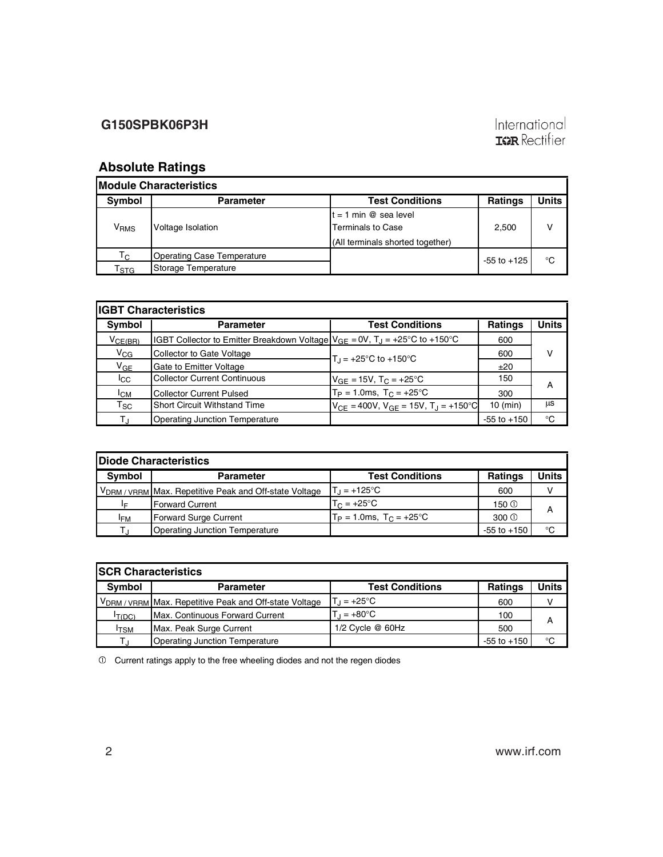# International<br>**IGR** Rectifier

# **Absolute Ratings**

| <b>IModule Characteristics</b>    |                                                   |                                                                                         |                 |       |  |  |  |  |  |  |  |
|-----------------------------------|---------------------------------------------------|-----------------------------------------------------------------------------------------|-----------------|-------|--|--|--|--|--|--|--|
| Symbol                            | <b>Parameter</b>                                  | <b>Test Conditions</b>                                                                  | <b>Ratings</b>  | Units |  |  |  |  |  |  |  |
| V <sub>RMS</sub>                  | Voltage Isolation                                 | $t = 1$ min @ sea level<br><b>Terminals to Case</b><br>(All terminals shorted together) | 2,500           |       |  |  |  |  |  |  |  |
| $\mathsf{T}_{\mathsf{C}}$<br>「sтG | Operating Case Temperature<br>Storage Temperature |                                                                                         | $-55$ to $+125$ | °C    |  |  |  |  |  |  |  |

| <b>IGBT Characteristics</b> |                                                                                                            |                                                           |                 |       |  |  |  |  |  |  |
|-----------------------------|------------------------------------------------------------------------------------------------------------|-----------------------------------------------------------|-----------------|-------|--|--|--|--|--|--|
| Symbol                      | <b>Parameter</b>                                                                                           | <b>Test Conditions</b>                                    | <b>Ratings</b>  | Units |  |  |  |  |  |  |
| $V_{CE(BR)}$                | $ IGBT$ Collector to Emitter Breakdown Voltage $ V_{GE} = 0V$ , $T_J = +25^{\circ}$ C to +150 $^{\circ}$ C |                                                           | 600             |       |  |  |  |  |  |  |
| $V_{CG}$                    | Collector to Gate Voltage                                                                                  | $T_{\text{H}}$ = +25°C to +150°C                          | 600             | v     |  |  |  |  |  |  |
| $V_{GE}$                    | Gate to Emitter Voltage                                                                                    |                                                           | ±20             |       |  |  |  |  |  |  |
| $_{\rm lcc}$                | <b>Collector Current Continuous</b>                                                                        | $V_{GF}$ = 15V, T <sub>C</sub> = +25 <sup>°</sup> C       | 150             | A     |  |  |  |  |  |  |
| $I_{CM}$                    | <b>Collector Current Pulsed</b>                                                                            | $T_P = 1.0$ ms, $T_C = +25$ °C                            | 300             |       |  |  |  |  |  |  |
| $\mathsf{T}_{\mathsf{SC}}$  | <b>Short Circuit Withstand Time</b>                                                                        | $V_{CF} = 400V$ , $V_{GF} = 15V$ , $T_A = +150^{\circ}$ C | $10$ (min)      | μs    |  |  |  |  |  |  |
| Tı                          | <b>Operating Junction Temperature</b>                                                                      |                                                           | $-55$ to $+150$ | °C    |  |  |  |  |  |  |

| <b>IDiode Characteristics</b>     |                                                                               |                                      |                 |       |  |  |  |  |  |  |
|-----------------------------------|-------------------------------------------------------------------------------|--------------------------------------|-----------------|-------|--|--|--|--|--|--|
| <b>Symbol</b><br><b>Parameter</b> |                                                                               | <b>Test Conditions</b>               | <b>Ratings</b>  | Units |  |  |  |  |  |  |
|                                   | V <sub>DRM</sub> / <sub>VRRM</sub> Max. Repetitive Peak and Off-state Voltage | $T_1 = +125^{\circ}C$                | 600             |       |  |  |  |  |  |  |
| I⊧                                | Forward Current                                                               | $T_C = +25^{\circ}C$                 | 150 ①           | А     |  |  |  |  |  |  |
| <sup>I</sup> FM                   | Forward Surge Current                                                         | $T_P = 1.0$ ms, $T_C = +25^{\circ}C$ | $300 \circ$     |       |  |  |  |  |  |  |
|                                   | <b>Operating Junction Temperature</b>                                         |                                      | $-55$ to $+150$ | °C    |  |  |  |  |  |  |

| <b>ISCR Characteristics</b> |                                                                                 |                        |                 |       |  |  |  |  |  |
|-----------------------------|---------------------------------------------------------------------------------|------------------------|-----------------|-------|--|--|--|--|--|
| Symbol                      | <b>Parameter</b>                                                                | <b>Test Conditions</b> | <b>Ratings</b>  | Units |  |  |  |  |  |
|                             | V <sub>DRM</sub> / <sub>VRRM</sub>   Max. Repetitive Peak and Off-state Voltage | $T_1 = +25^{\circ}C$   | 600             | v     |  |  |  |  |  |
| IT(DC)                      | <b>IMax. Continuous Forward Current</b>                                         | $T_{d} = +80^{\circ}C$ | 100             | А     |  |  |  |  |  |
| <sup>I</sup> TSM            | Max. Peak Surge Current                                                         | 1/2 Cycle @ 60Hz       | 500             |       |  |  |  |  |  |
| т،                          | Operating Junction Temperature                                                  |                        | $-55$ to $+150$ | °C    |  |  |  |  |  |

 $\overline{\phantom{a}}$  Current ratings apply to the free wheeling diodes and not the regen diodes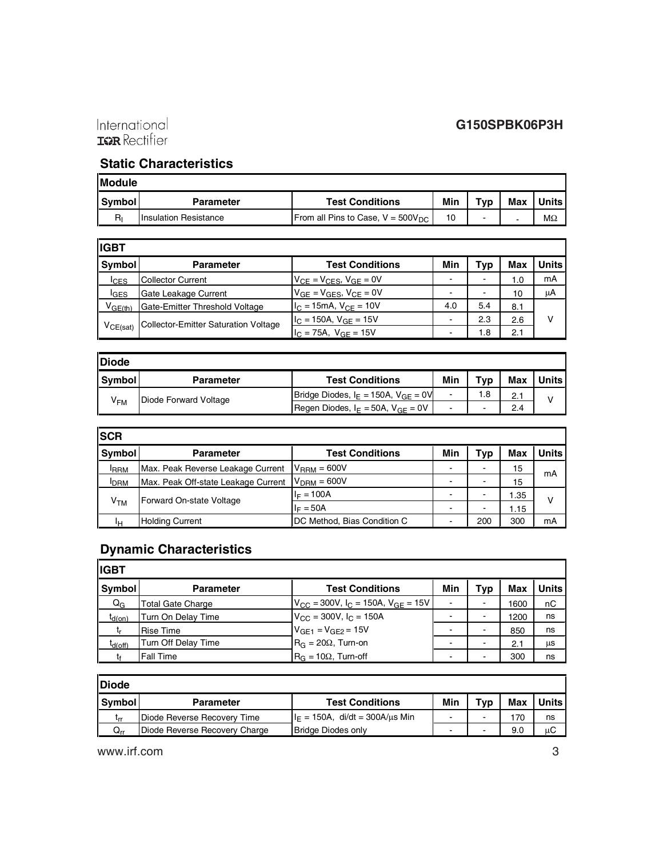

## **Static Characteristics**

| <b>Module</b> |                              |                                                          |     |                          |            |         |  |  |  |
|---------------|------------------------------|----------------------------------------------------------|-----|--------------------------|------------|---------|--|--|--|
| Symbol        | <b>Parameter</b>             | <b>Test Conditions</b>                                   | Min | ⊤ур                      | <b>Max</b> | Units i |  |  |  |
| $R_{I}$       | <b>Insulation Resistance</b> | <b>From all Pins to Case, <math>V = 500V_{DC}</math></b> | 10  | $\overline{\phantom{0}}$ |            | МΩ      |  |  |  |

| <b>IIGBT</b>     |                                      |                                      |                          |     |            |       |
|------------------|--------------------------------------|--------------------------------------|--------------------------|-----|------------|-------|
| Symbol           | <b>Parameter</b>                     | <b>Test Conditions</b>               | Min                      | Typ | <b>Max</b> | Units |
| <b>ICES</b>      | <b>Collector Current</b>             | $V_{CE}$ = $V_{CES}$ , $V_{GE}$ = 0V | -                        |     | 1.0        | mA    |
| <sup>I</sup> GES | Gate Leakage Current                 | $V_{GE} = V_{GES}$ , $V_{CE} = 0V$   | $\blacksquare$           |     | 10         | μA    |
| $V_{GE(th)}$     | Gate-Emitter Threshold Voltage       | $I_C = 15mA$ , $V_{CF} = 10V$        | 4.0                      | 5.4 | 8.1        |       |
|                  | Collector-Emitter Saturation Voltage | $IC$ = 150A, $VGF$ = 15V             |                          | 2.3 | 2.6        |       |
| $V_{CE(sat)}$    |                                      | $IC = 75A$ , $VGF = 15V$             | $\overline{\phantom{0}}$ | 1.8 | 2.1        |       |

| Diode         |                       |                                             |                          |                          |            |              |
|---------------|-----------------------|---------------------------------------------|--------------------------|--------------------------|------------|--------------|
| <b>Symbol</b> | <b>Parameter</b>      | <b>Test Conditions</b>                      | Min                      | Typ                      | <b>Max</b> | <b>Units</b> |
| $V_{FM}$      | Diode Forward Voltage | Bridge Diodes, $I_E = 150A$ , $V_{GE} = 0V$ | -                        | 1.8                      |            | v            |
|               |                       | Regen Diodes, $I_F = 50A$ , $V_{GF} = 0V$   | $\overline{\phantom{a}}$ | $\overline{\phantom{a}}$ | 2.4        |              |

| <b>SCR</b>      |                                     |                             |                          |                          |            |       |
|-----------------|-------------------------------------|-----------------------------|--------------------------|--------------------------|------------|-------|
| Symbol          | <b>Parameter</b>                    | <b>Test Conditions</b>      | Min                      | Typ                      | <b>Max</b> | Units |
| <b>RRM</b>      | Max. Peak Reverse Leakage Current   | $V_{\text{RRM}}$ = 600V     | $\overline{\phantom{0}}$ | $\overline{\phantom{0}}$ | 15         | mA    |
| <b>IDRM</b>     | Max. Peak Off-state Leakage Current | $VDRM = 600V$               | $\overline{\phantom{0}}$ | $\overline{\phantom{0}}$ | 15         |       |
|                 | Forward On-state Voltage            | $I_F = 100A$                | $\overline{\phantom{0}}$ | $\overline{\phantom{0}}$ | 1.35       | v     |
| V <sub>TM</sub> |                                     | $I_F = 50A$                 | $\overline{\phantom{0}}$ |                          | 1.15       |       |
| Iн              | <b>Holding Current</b>              | DC Method, Bias Condition C | -                        | 200                      | 300        | mA    |

# **Dynamic Characteristics**

| lıgbt          |                     |                                               |                |                          |      |              |
|----------------|---------------------|-----------------------------------------------|----------------|--------------------------|------|--------------|
| <b>Symbol</b>  | <b>Parameter</b>    | <b>Test Conditions</b>                        | Min            | Typ                      | Max  | <b>Units</b> |
| $Q_{\text{G}}$ | Total Gate Charge   | $V_{CC}$ = 300V, $I_C$ = 150A, $V_{GF}$ = 15V | -              | $\overline{\phantom{0}}$ | 1600 | nC           |
| $t_{d(on)}$    | Turn On Delay Time  | $V_{\text{CC}}$ = 300V, $I_{\text{C}}$ = 150A | $\blacksquare$ | $\overline{\phantom{a}}$ | 1200 | ns           |
|                | <b>Rise Time</b>    | $V_{GE1} = V_{GE2} = 15V$                     | -              | $\overline{\phantom{a}}$ | 850  | ns           |
| $t_{d(Off)}$   | Turn Off Delay Time | $R_G = 20\Omega$ , Turn-on                    | -              | $\overline{\phantom{a}}$ | 2.1  | μs           |
|                | <b>Fall Time</b>    | $R_G = 10\Omega$ , Turn-off                   |                |                          | 300  | ns           |

| <b>IDiode</b>   |                               |                                    |                          |     |     |              |
|-----------------|-------------------------------|------------------------------------|--------------------------|-----|-----|--------------|
| I Symbol        | <b>Parameter</b>              | <b>Test Conditions</b>             | Min                      | Tvp | Max | <b>Units</b> |
| ւ <sub>rr</sub> | Diode Reverse Recovery Time   | $I_F = 150A$ , di/dt = 300A/us Min | $\overline{\phantom{0}}$ |     | 70  | ns           |
| Q.,             | Diode Reverse Recovery Charge | Bridge Diodes only                 | $\overline{\phantom{0}}$ |     | 9.0 | иC           |

www.irf.com 3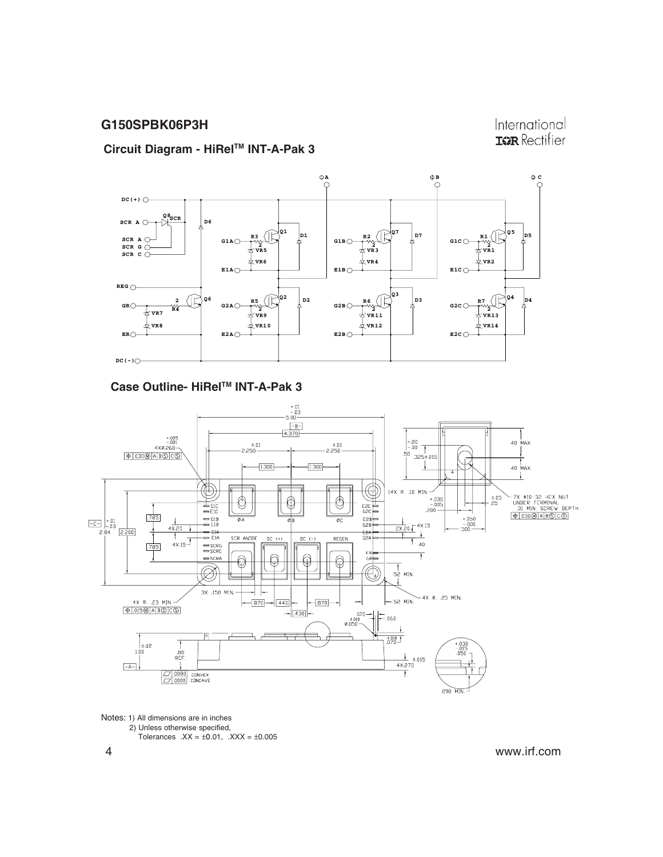International **IGR** Rectifier

#### **Circuit Diagram - HiRelTM INT-A-Pak 3**



#### **Case Outline- HiRelTM INT-A-Pak 3**



Notes: 1) All dimensions are in inches 2) Unless otherwise specified, Tolerances  $.XX = \pm 0.01$ ,  $.XXX = \pm 0.005$ 

4 www.irf.com